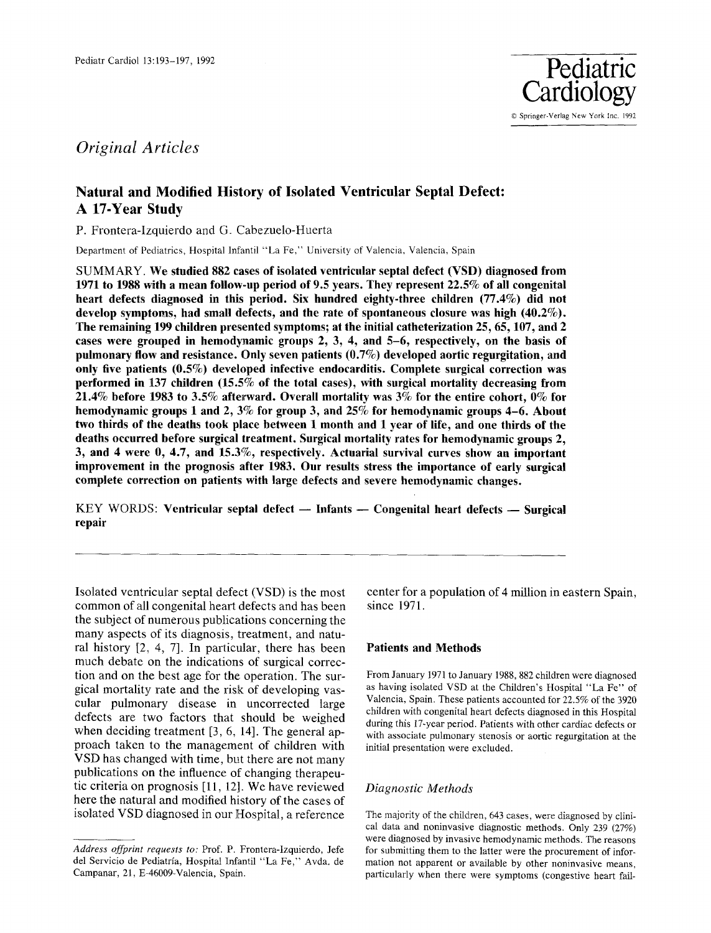

# *Original Articles*

## **Natural and Modified History of Isolated Ventricular Septal Defect: A 17-Year Study**

P. Frontera-Izquierdo and G. Cabezuelo-Huerta

Department of Pediatrics, Hospital lnfantil "La Fe," University of Valencia, Valencia, Spain

**SUMMARY. We studied 882 cases of isolated ventricular septal defect (VSD) diagnosed from 1971 to 1988 with a mean follow-up period of 9.5 years. They represent 22.5% of all congenital heart defects diagnosed in this period. Six hundred eighty-three children (77.4%) did not develop symptoms, had small defects, and the rate of spontaneous closure was high (40.2%). The remaining 199 children presented symptoms; at the initial catheterization 25, 65,107, and 2 cases were grouped in hemodynamic groups 2, 3, 4, and 5-6, respectively, on the basis of pulmonary flow and resistance. Only seven patients (0.7%) developed aortic regurgitation, and only five patients (0.5%) developed infective endocarditis. Complete surgical correction was performed in 137 children (15.5% of the total cases), with surgical mortality decreasing from 21.4% before 1983 to 3.5% afterward. Overall mortality was 3% for the entire cohort, 0% for hemodynamic groups 1 and 2, 3% for group 3, and 25% for hemodynamic groups 4-6. About two thirds of the deaths took place between 1 month and 1 year of life, and one thirds of the deaths occurred before surgical treatment. Surgical mortality rates for hemodynamic groups 2, 3, and 4 were 0, 4.7, and 15.3%, respectively. Actuarial survival curves show an important improvement in the prognosis after 1983. Our results stress the importance of early surgical complete correction on patients with large defects and severe hemodynamic changes.** 

KEY WORDS: Ventricular septal defect - Infants - Congenital heart defects - Surgical **repair** 

Isolated ventricular septal defect (VSD) is the most common of all congenital heart defects and has been the subject of numerous publications concerning the many aspects of its diagnosis, treatment, and natural history [2, 4, 7]. In particular, there has been much debate on the indications of surgical correction and on the best age for the operation. The surgical mortality rate and the risk of developing vascular pulmonary disease in uncorrected large defects are two factors that should be weighed when deciding treatment [3, 6, 14]. The general approach taken to the management of children with VSD has changed with time, but there are not many publications on the influence of changing therapeutic criteria on prognosis [11, 12]. We have reviewed here the natural and modified history of the cases of isolated VSD diagnosed in our Hospital, a reference

center for a population of 4 million in eastern Spain, since 1971.

#### **Patients and Methods**

From January 1971 to January 1988, 882 children were diagnosed as having isolated VSD at the Children's Hospital "La Fe" of Valencia, Spain. These patients accounted for 22.5% of the 3920 children with congenital heart defects diagnosed in this Hospital during this 17-year period. Patients with other cardiac defects or with associate pulmonary stenosis or aortic regurgitation at the initial presentation were excluded.

#### *Diagnostic Methods*

The majority of the children, 643 cases, were diagnosed by clinical data and noninvasive diagnostic methods. Only 239 (27%) were diagnosed by invasive hemodynamic methods. The reasons for submitting them to the latter were the procurement of information not apparent or available by other noninvasive means, particularly when there were symptoms (congestive heart fail-

*Address offprint requests to:* Prof. P. Frontera-lzquierdo, Jefe del Servicio de Pediatria, Hospital Infantil "La Fe," Avda. de Campanar, 21, E-46009-Valencia, Spain.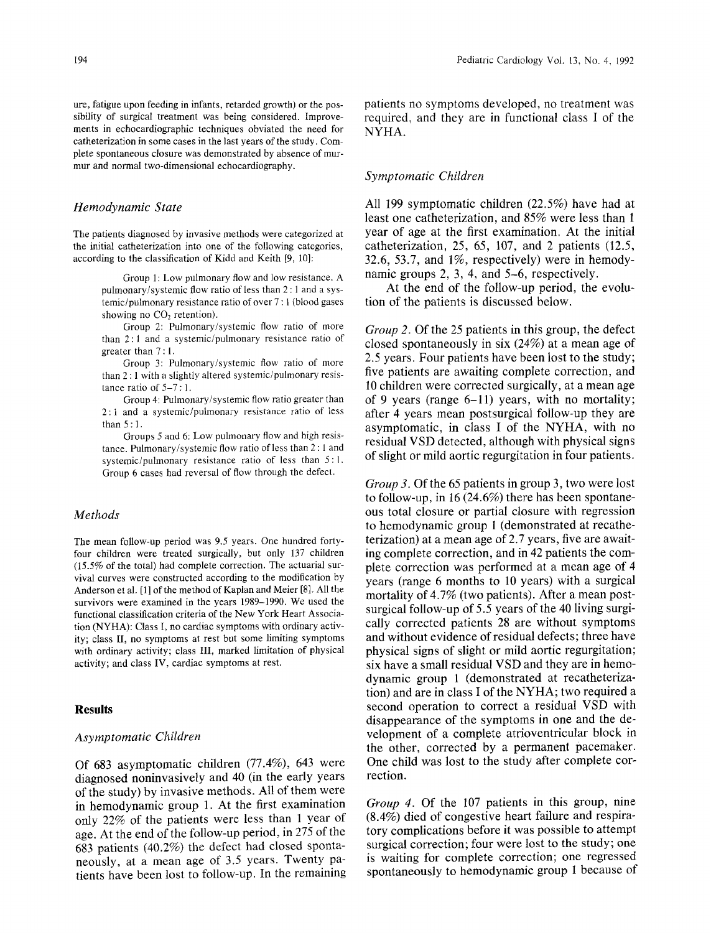ure, fatigue upon feeding in infants, retarded growth) or the possibility of surgical treatment was being considered. Improvements in echocardiographic techniques obviated the need for catheterization in some cases in the last years of the study. Complete spontaneous closure was demonstrated by absence of murmur and normal two-dimensional echocardiography.

#### *Hemodynamic State*

The patients diagnosed by invasive methods were categorized at the initial catheterization into one of the following categories, according to the classification of Kidd and Keith [9, 10]:

> Group 1: Low pulmonary flow and low resistance. A pulmonary/systemic flow ratio of less than 2 : 1 and a systemic/pulmonary resistance ratio of over 7 : 1 (blood gases showing no CO<sub>2</sub> retention).

> Group 2: Pulmonary/systemic flow ratio of more than 2:1 and a systemic/pulmonary resistance ratio of greater than 7 : 1.

> Group 3: Pulmonary/systemic flow ratio of more than 2 : 1 with a slightly altered systemic/pulmonary resistance ratio of  $5-7:1$ .

> Group 4: Pulmonary/systemic flow ratio greater than 2:1 and a systemic/pulmonary resistance ratio of less than 5 : 1.

> Groups 5 and 6: Low pulmonary flow and high resistance. Pulmonary/systemic flow ratio of less than 2:1 and systemic/pulmonary resistance ratio of less than 5:1. Group 6 cases had reversal of flow through the defect.

#### *Methods*

The mean follow-up period was 9.5 years. One hundred fortyfour children were treated surgically, but only 137 children (15.5% of the total) had complete correction. The actuarial survival curves were constructed according to the modification by Anderson et al. [1] of the method of Kaplan and Meier [8]. All the survivors were examined in the years 1989-1990. We used the functional classification criteria of the New York Heart Association (NYHA): Class I, no cardiac symptoms with ordinary activity; class II, no symptoms at rest but some limiting symptoms with ordinary activity; class III, marked limitation of physical activity; and class IV, cardiac symptoms at rest.

#### **Results**

#### *Asymptomatic Children*

Of 683 asymptomatic children (77.4%), 643 were diagnosed noninvasively and 40 (in the early years of the study) by invasive methods. All of them were in hemodynamic group 1. At the first examination only 22% of the patients were less than 1 year of age. At the end of the follow-up period, in 275 of the 683 patients (40.2%) the defect had closed spontaneously, at a mean age of 3.5 years. Twenty patients have been lost to follow-up. In the remaining patients no symptoms developed, no treatment was required, and they are in functional class I of the NYHA.

#### *Symptomatic Children*

All 199 symptomatic children (22.5%) have had at least one catheterization, and 85% were less than 1 year of age at the first examination. At the initial catheterization, 25, 65, 107, and 2 patients (12.5, 32.6, 53.7, and 1%, respectively) were in hemodynamic groups 2, 3, 4, and 5-6, respectively.

At the end of the follow-up period, the evolution of the patients is discussed below.

*Group 2.* Of the 25 patients in this group, the defect closed spontaneously in six (24%) at a mean age of 2.5 years. Four patients have been lost to the study; five patients are awaiting complete correction, and 10 children were corrected surgically, at a mean age of 9 years (range 6-11) years, with no mortality; after 4 years mean postsurgical follow-up they are asymptomatic, in class I of the NYHA, with no residual VSD detected, although with physical signs of slight or mild aortic regurgitation in four patients.

*Group 3.* Of the 65 patients in group 3, two were lost to follow-up, in 16 (24.6%) there has been spontaneous total closure or partial closure with regression to hemodynamic group I (demonstrated at recatheterization) at a mean age of 2.7 years, five are awaiting complete correction, and in 42 patients the complete correction was performed at a mean age of 4 years (range 6 months to 10 years) with a surgical mortality of 4.7% (two patients). After a mean postsurgical follow-up of 5.5 years of the 40 living surgically corrected patients 28 are without symptoms and without evidence of residual defects; three have physical signs of slight or mild aortic regurgitation; six have a small residual VSD and they are in hemodynamic group 1 (demonstrated at recatheterization) and are in class I of the NYHA; two required a second operation to correct a residual VSD with disappearance of the symptoms in one and the development of a complete atrioventricular block in the other, corrected by a permanent pacemaker. One child was lost to the study after complete correction.

*Group 4.* Of the 107 patients in this group, nine (8.4%) died of congestive heart failure and respiratory complications before it was possible to attempt surgical correction; four were lost to the study; one is waiting for complete correction; one regressed spontaneously to hemodynamic group 1 because of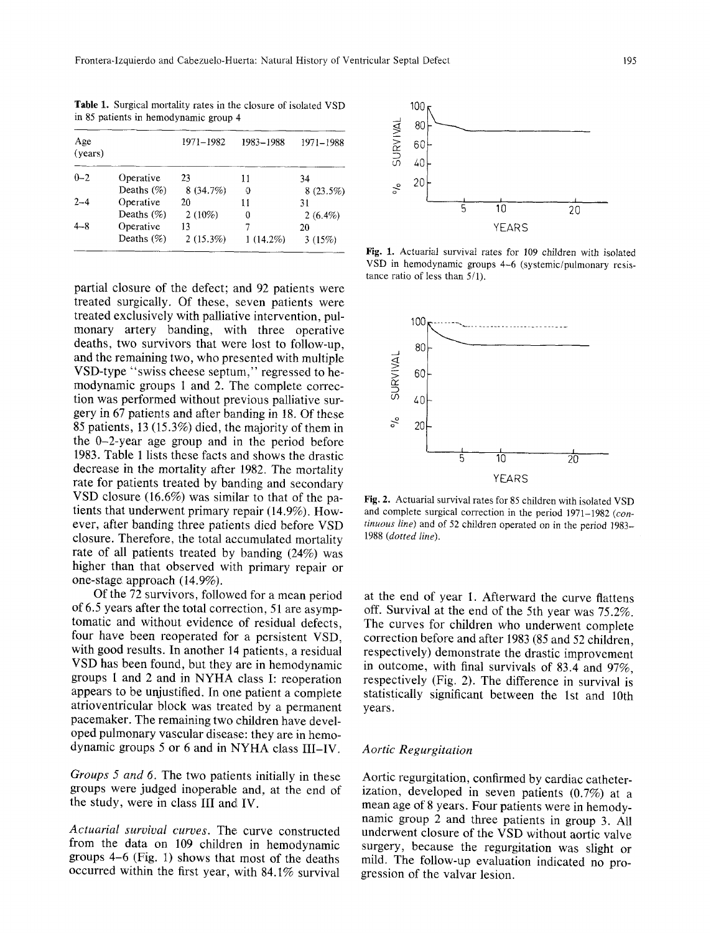**Table** 1. Surgical mortality rates in the closure of isolated VSD in 85 patients in hemodynamic group 4

| Age<br>(years) |               | 1971–1982 | 1983-1988   | 1971-1988   | <b>SURVIV4</b> |
|----------------|---------------|-----------|-------------|-------------|----------------|
| $0 - 2$        | Operative     | 23        | 11          | 34          |                |
|                | Deaths $(\%)$ | 8 (34.7%) | O           | $8(23.5\%)$ | $\epsilon$     |
| $2 - 4$        | Operative     | 20        | 11          | 31          |                |
|                | Deaths $(\%)$ | $2(10\%)$ | 0           | $2(6.4\%)$  |                |
| $4 - 8$        | Operative     | 13        |             | 20          |                |
|                | Deaths $(\%)$ | 2(15.3%)  | $1(14.2\%)$ | 3(15%)      | Fig. 1. A      |

partial closure of the defect; and 92 patients were treated surgically. Of these, seven patients were treated exclusively with palliative intervention, pulmonary artery banding, with three operative deaths, two survivors that were lost to follow-up, and the remaining two, who presented with multiple VSD-type "swiss cheese septum," regressed to hemodynamic groups 1 and 2. The complete correction was performed without previous palliative surgery in 67 patients and after banding in 18. Of these 85 patients, 13 (15.3%) died, the majority of them in the 0-2-year age group and in the period before 1983. Table 1 lists these facts and shows the drastic decrease in the mortality after 1982. The mortality rate for patients treated by banding and secondary VSD closure (16.6%) was similar to that of the patients that underwent primary repair (14.9%). However, after banding three patients died before VSD closure. Therefore, the total accumulated mortality rate of all patients treated by banding (24%) was higher than that observed with primary repair or one-stage approach (14.9%).

Of the 72 survivors, followed for a mean period of 6.5 years after the total correction, 51 are asymptomatic and without evidence of residual defects, four have been reoperated for a persistent VSD, with good results. In another 14 patients, a residual VSD has been found, but they are in hemodynamic groups 1 and 2 and in NYHA class I: reoperation appears to be unjustified. In one patient a complete atrioventricular block was treated by a permanent pacemaker. The remaining two children have developed pulmonary vascular disease: they are in hemodynamic groups 5 or 6 and in NYHA class III-IV.

*Groups 5 and 6.* The two patients initially in these groups were judged inoperable and, at the end of the study, were in class III and IV.

Actuarial survival curves. The curve constructed from the data on 109 children in hemodynamic groups 4-6 (Fig. 1) shows that most of the deaths occurred within the first year, with 84.1% survival



Fig. 1. Actuarial survival rates for 109 children with isolated VSD in hemodynamic groups 4-6 (systemic/pulmonary resistance ratio of less than 5/1).



Fig. 2. Actuarial survival rates for 85 children with isolated VSD and complete surgical correction in the period 1971-1982 *(continuous line)* and of 52 children operated on in the period 1983- 1988 *(dotted line).* 

at the end of year 1. Afterward the curve flattens off. Survival at the end of the 5th year was 75.2%. The curves for children who underwent complete correction before and after 1983 (85 and 52 children, respectively) demonstrate the drastic improvement in outcome, with final survivals of 83.4 and 97%, respectively (Fig. 2). The difference in survival is statistically significant between the 1st and 10th years.

### *Aortic Regurgitation*

Aortic regurgitation, confirmed by cardiac catheterization, developed in seven patients (0.7%) at a mean age of 8 years. Four patients were in hemodynamic group 2 and three patients in group 3. All underwent closure of the VSD without aortic valve surgery, because the regurgitation was slight or mild. The follow-up evaluation indicated no progression of the valvar lesion.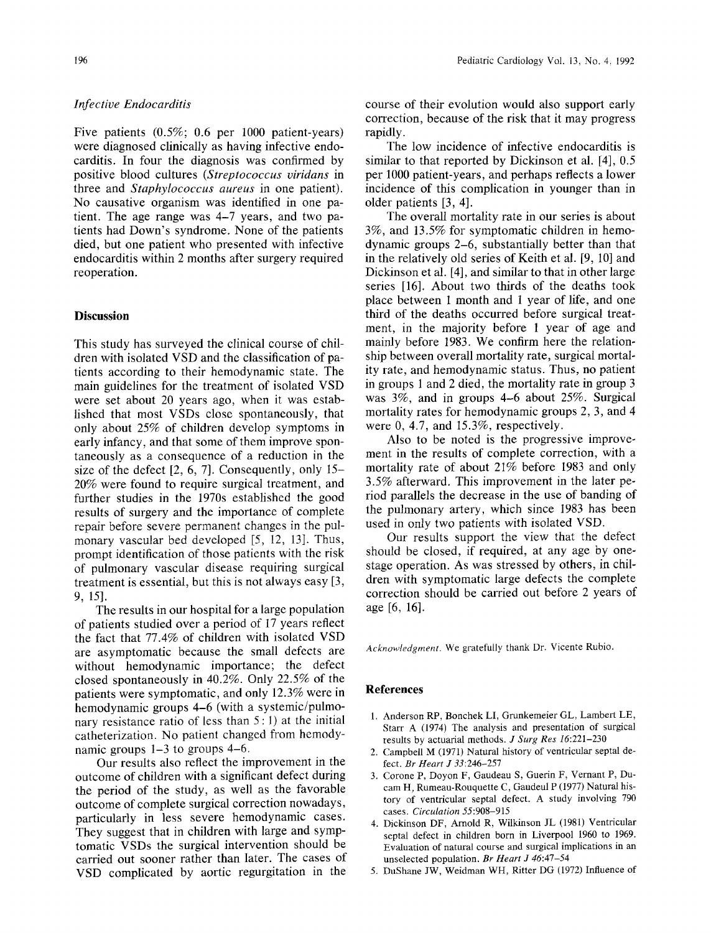## *Infective Endocarditis*

Five patients (0.5%; 0.6 per 1000 patient-years) were diagnosed clinically as having infective endocarditis. In four the diagnosis was confirmed by positive blood cultures *(Streptococcus viridans* in three and *Staphylococcus aureus* in one patient). No causative organism was identified in one patient. The age range was 4-7 years, and two patients had Down's syndrome. None of the patients died, but one patient who presented with infective endocarditis within 2 months after surgery required reoperation.

## **Discussion**

This study has surveyed the clinical course of children with isolated VSD and the classification of patients according to their hemodynamic state. The main guidelines for the treatment of isolated VSD were set about 20 years ago, when it was established that most VSDs close spontaneously, that only about 25% of children develop symptoms in early infancy, and that some of them improve spontaneously as a consequence of a reduction in the size of the defect [2, 6, 7]. Consequently, only 15- 20% were found to require surgical treatment, and further studies in the 1970s established the good results of surgery and the importance of complete repair before severe permanent changes in the pulmonary vascular bed developed [5, 12, 13]. Thus, prompt identification of those patients with the risk of pulmonary vascular disease requiring surgical treatment is essential, but this is not always easy [3, 9, 151.

The results in our hospital for a large population of patients studied over a period of 17 years reflect the fact that 77.4% of children with isolated VSD are asymptomatic because the small defects are without hemodynamic importance; the defect closed spontaneously in 40.2%. Only 22.5% of the patients were symptomatic, and only 12.3% were in hemodynamic groups 4-6 (with a systemic/pulmonary resistance ratio of less than  $5:1$ ) at the initial catheterization. No patient changed from hemodynamic groups 1-3 to groups 4-6.

Our results also reflect the improvement in the outcome of children with a significant defect during the period of the study, as well as the favorable outcome of complete surgical correction nowadays, particularly in less severe hemodynamic cases. They suggest that in children with large and symptomatic VSDs the surgical intervention should be carried out sooner rather than later. The cases of VSD complicated by aortic regurgitation in the course of their evolution would also support early correction, because of the risk that it may progress rapidly.

The low incidence of infective endocarditis is similar to that reported by Dickinson et al. [4], 0.5 per 1000 patient-years, and perhaps reflects a lower incidence of this complication in younger than in older patients [3, 4].

The overall mortality rate in our series is about 3%, and 13.5% for symptomatic children in hemodynamic groups 2-6, substantially better than that in the relatively old series of Keith et al. [9, 10] and Dickinson et al. [4], and similar to that in other large series [16]. About two thirds of the deaths took place between 1 month and 1 year of life, and one third of the deaths occurred before surgical treatment, in the majority before 1 year of age and mainly before 1983. We confirm here the relationship between overall mortality rate, surgical mortality rate, and hemodynamic status. Thus, no patient in groups 1 and 2 died, the mortality rate in group 3 was 3%, and in groups 4-6 about 25%. Surgical mortality rates for hemodynamic groups 2, 3, and 4 were 0, 4.7, and 15.3%, respectively.

Also to be noted is the progressive improvement in the results of complete correction, with a mortality rate of about 21% before 1983 and only 3.5% afterward. This improvement in the later period parallels the decrease in the use of banding of the pulmonary artery, which since 1983 has been used in only two patients with isolated VSD.

Our results support the view that the defect should be closed, if required, at any age by onestage operation. As was stressed by others, in children with symptomatic large defects the complete correction should be carried out before 2 years of age [6, 16].

*Acknowledgment,* We gratefully thank Dr. Vicente Rubio.

#### **References**

- 1. Anderson RP, Bonchek LI, Grunkemeier GL, Lambert LE, Start A (1974) The analysis and presentation of surgical results by actuarial methods. *J Surg Res* 16:221-230
- 2. Campbell M (1971) Natural history of ventricular septal defect. *Br Heart J* 33:246-257
- 3. Corone P, Doyon F, Gaudeau S, Guerin F, Vernant P, Ducam H, Rumeau-Rouquette C, Gaudeul P (1977) Natural history of ventricular septal defect. A study involving 790 cases. *Circulation* 55:908-915
- 4. Dickinson DF, Arnold R, Wilkinson JL (1981) Ventricular septal defect in children born in Liverpool 1960 to 1969. Evaluation of natural course and surgical implications in an unselected population. *Br Heart J* 46:47-54
- 5. DuShane JW, Weidman WH, Ritter DG (1972) Influence of